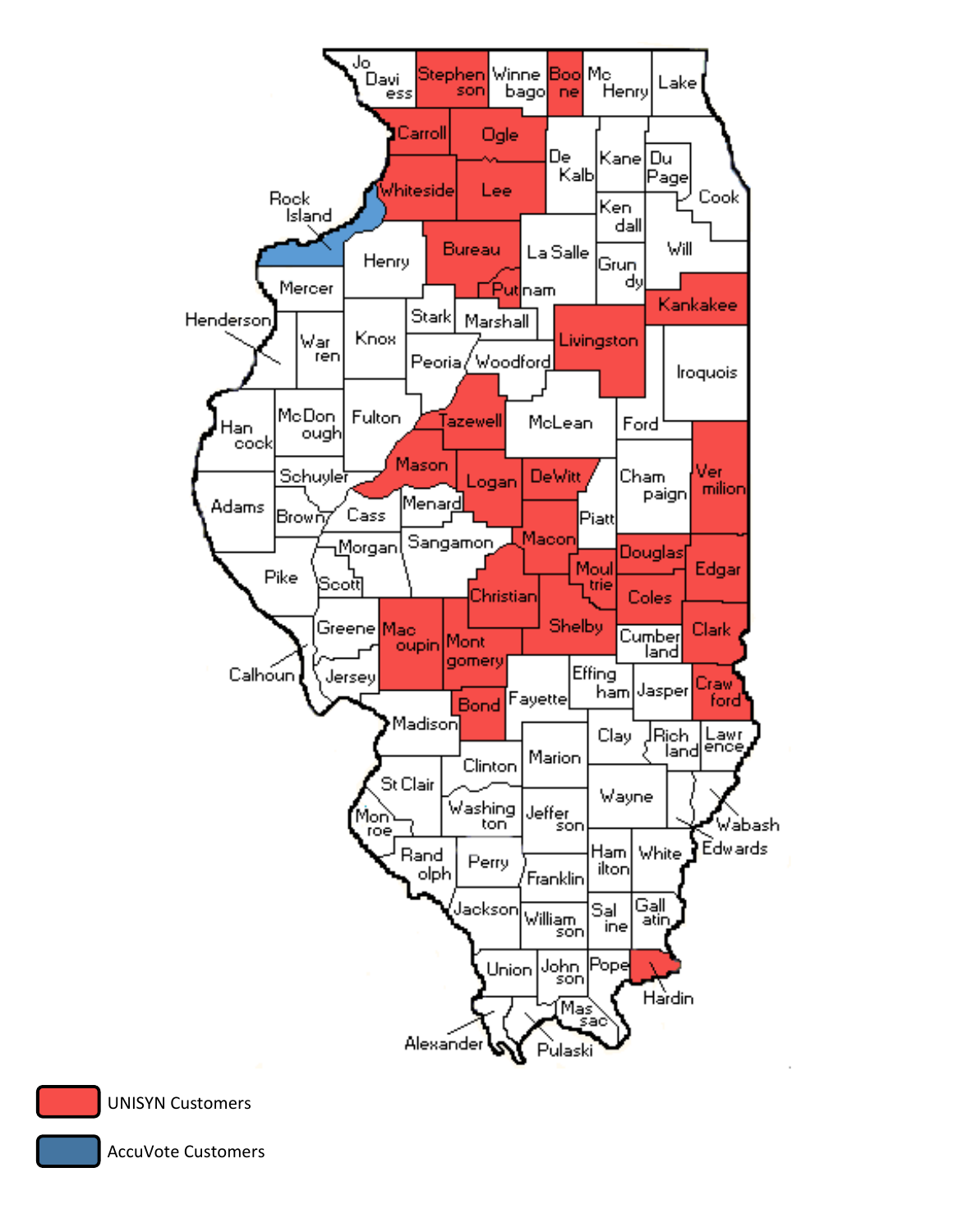



AccuVote Customers